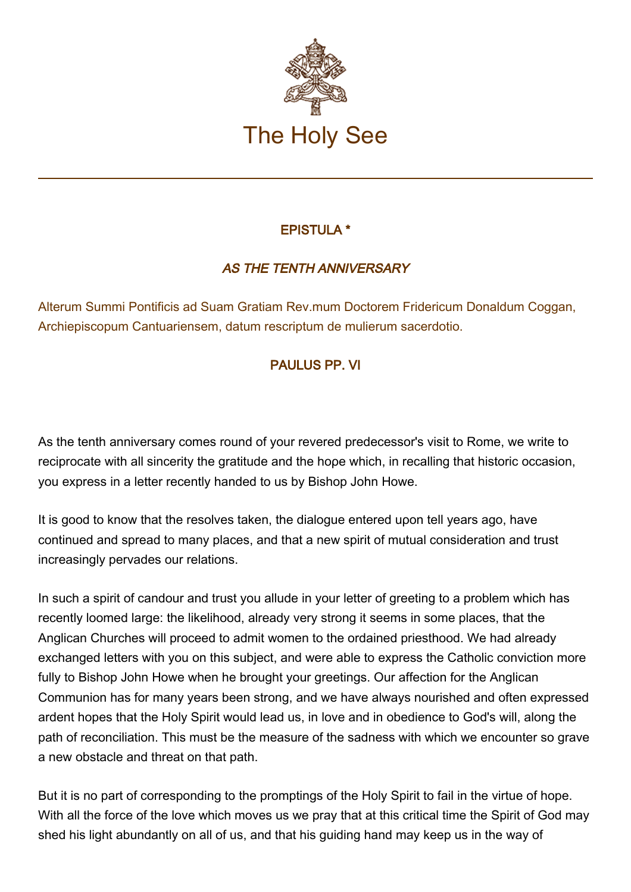

## EPISTULA \*

## AS THE TENTH ANNIVERSARY

Alterum Summi Pontificis ad Suam Gratiam Rev.mum Doctorem Fridericum Donaldum Coggan, Archiepiscopum Cantuariensem, datum rescriptum de mulierum sacerdotio.

## PAULUS ΡΡ. VI

As the tenth anniversary comes round of your revered predecessor's visit to Rome, we write to reciprocate with all sincerity the gratitude and the hoρe which, in recalling that historic occasion, you express in a letter recently handed to us by Bishop John Howe.

It is gοοd to know that the resolves taken, the dialogue entered uροn tell years ago, have continued and spread to many places, and that a new spirit of mutual consideration and trust increasingly pervades our relations.

In such a spirit of candour and trust you allude in your letter of greeting to a problem which has recently loomed large: the likelihood, already very strong it seems in some places, that the Anglican Churches will proceed to admit women to the ordained priesthood. We had already exchanged letters with you on this subject, and were able to express the Catholic conviction more fully to Bishop John Howe when he brought your greetings. Our affection for the Anglican Communion has for many years been strong, and we have always nourished and often expressed ardent hopes that the Holy Spirit would lead us, in love and in obedience to God's will, along the path of reconciliation. This must be the measure of the sadness with which we encounter so grave a new obstacle and threat on that path.

But it is no part of corresponding to the promptings of the Holy Spirit to fail in the virtue of hope. With all the force of the love which moves us we pray that at this critical time the Spirit of God may shed his light abundantly on all of us, and that his guiding hand may keep us in the way of